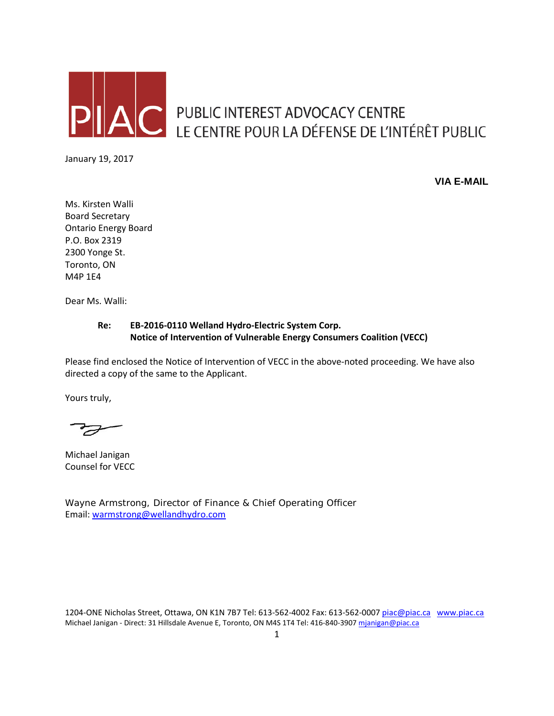

AC PUBLIC INTEREST ADVOCACY CENTRE<br>LE CENTRE POUR LA DÉFENSE DE L'INTÉRÊT PUBLIC

January 19, 2017

**VIA E-MAIL**

Ms. Kirsten Walli Board Secretary Ontario Energy Board P.O. Box 2319 2300 Yonge St. Toronto, ON M4P 1E4

Dear Ms. Walli:

## **Re: EB-2016-0110 Welland Hydro-Electric System Corp. Notice of Intervention of Vulnerable Energy Consumers Coalition (VECC)**

Please find enclosed the Notice of Intervention of VECC in the above-noted proceeding. We have also directed a copy of the same to the Applicant.

Yours truly,

Michael Janigan Counsel for VECC

Wayne Armstrong, Director of Finance & Chief Operating Officer Email: [warmstrong@wellandhydro.com](mailto:warmstrong@wellandhydro.com)

1204-ONE Nicholas Street, Ottawa, ON K1N 7B7 Tel: 613-562-4002 Fax: 613-562-000[7 piac@piac.ca](mailto:piac@piac.ca) [www.piac.ca](http://www.piac.ca/) Michael Janigan - Direct: 31 Hillsdale Avenue E, Toronto, ON M4S 1T4 Tel: 416-840-390[7 mjanigan@piac.ca](mailto:mjanigan@piac.ca)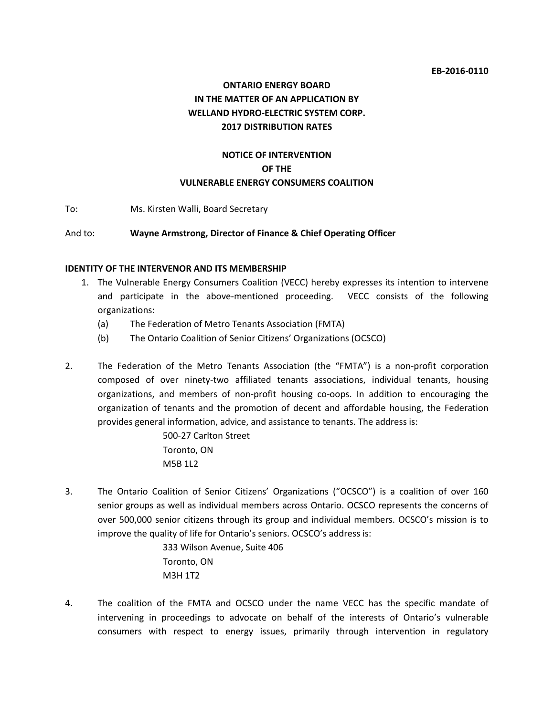#### **EB-2016-0110**

# **ONTARIO ENERGY BOARD IN THE MATTER OF AN APPLICATION BY WELLAND HYDRO-ELECTRIC SYSTEM CORP. 2017 DISTRIBUTION RATES**

## **NOTICE OF INTERVENTION OF THE VULNERABLE ENERGY CONSUMERS COALITION**

To: Ms. Kirsten Walli, Board Secretary

#### And to: **Wayne Armstrong, Director of Finance & Chief Operating Officer**

#### **IDENTITY OF THE INTERVENOR AND ITS MEMBERSHIP**

- 1. The Vulnerable Energy Consumers Coalition (VECC) hereby expresses its intention to intervene and participate in the above-mentioned proceeding. VECC consists of the following organizations:
	- (a) The Federation of Metro Tenants Association (FMTA)
	- (b) The Ontario Coalition of Senior Citizens' Organizations (OCSCO)
- 2. The Federation of the Metro Tenants Association (the "FMTA") is a non-profit corporation composed of over ninety-two affiliated tenants associations, individual tenants, housing organizations, and members of non-profit housing co-oops. In addition to encouraging the organization of tenants and the promotion of decent and affordable housing, the Federation provides general information, advice, and assistance to tenants. The address is:

500-27 Carlton Street Toronto, ON M5B 1L2

3. The Ontario Coalition of Senior Citizens' Organizations ("OCSCO") is a coalition of over 160 senior groups as well as individual members across Ontario. OCSCO represents the concerns of over 500,000 senior citizens through its group and individual members. OCSCO's mission is to improve the quality of life for Ontario's seniors. OCSCO's address is:

> 333 Wilson Avenue, Suite 406 Toronto, ON M3H 1T2

4. The coalition of the FMTA and OCSCO under the name VECC has the specific mandate of intervening in proceedings to advocate on behalf of the interests of Ontario's vulnerable consumers with respect to energy issues, primarily through intervention in regulatory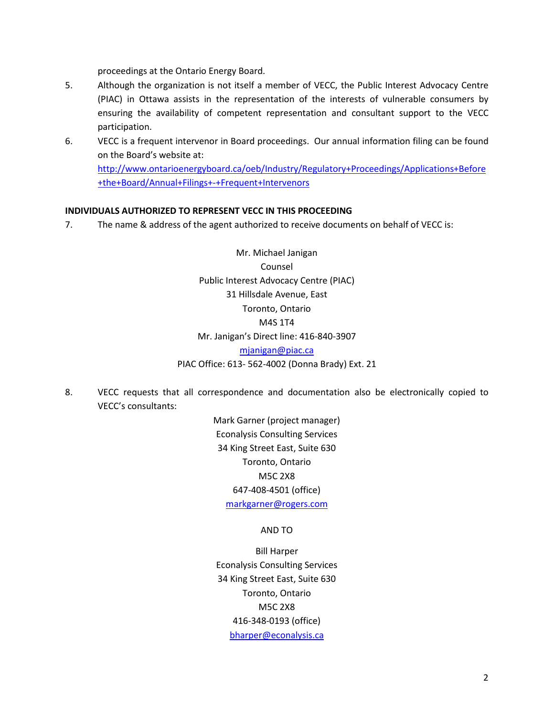proceedings at the Ontario Energy Board.

- 5. Although the organization is not itself a member of VECC, the Public Interest Advocacy Centre (PIAC) in Ottawa assists in the representation of the interests of vulnerable consumers by ensuring the availability of competent representation and consultant support to the VECC participation.
- 6. VECC is a frequent intervenor in Board proceedings. Our annual information filing can be found on the Board's website at:

[http://www.ontarioenergyboard.ca/oeb/Industry/Regulatory+Proceedings/Applications+Before](http://www.ontarioenergyboard.ca/oeb/Industry/Regulatory+Proceedings/Applications+Before+the+Board/Annual+Filings+-+Frequent+Intervenors) [+the+Board/Annual+Filings+-+Frequent+Intervenors](http://www.ontarioenergyboard.ca/oeb/Industry/Regulatory+Proceedings/Applications+Before+the+Board/Annual+Filings+-+Frequent+Intervenors)

## **INDIVIDUALS AUTHORIZED TO REPRESENT VECC IN THIS PROCEEDING**

7. The name & address of the agent authorized to receive documents on behalf of VECC is:

Mr. Michael Janigan Counsel Public Interest Advocacy Centre (PIAC) 31 Hillsdale Avenue, East Toronto, Ontario M4S 1T4 Mr. Janigan's Direct line: 416-840-3907 [mjanigan@piac.ca](mailto:mjanigan@piac.ca)

## PIAC Office: 613- 562-4002 (Donna Brady) Ext. 21

8. VECC requests that all correspondence and documentation also be electronically copied to VECC's consultants:

> Mark Garner (project manager) Econalysis Consulting Services 34 King Street East, Suite 630 Toronto, Ontario M5C 2X8 647-408-4501 (office) [markgarner@rogers.com](mailto:markgarner@rogers.com)

#### AND TO

Bill Harper Econalysis Consulting Services 34 King Street East, Suite 630 Toronto, Ontario M5C 2X8 416-348-0193 (office) [bharper@econalysis.ca](mailto:bharper@econalysis.ca)